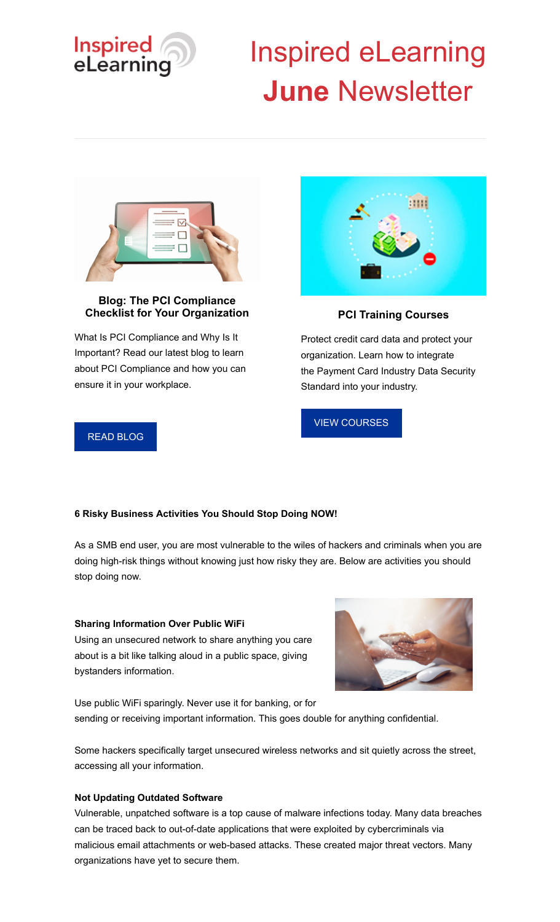

# Inspired eLearning **June** Newsletter



# **Blog: The PCI Compliance Checklist for Your Organization**

What Is PCI Compliance and Why Is It Important? Read our latest blog to learn about PCI Compliance and how you can ensure it in your workplace.



**PCI Training Courses**

Protect credit card data and protect your organization. Learn how to integrate the Payment Card Industry Data Security Standard into your industry.

[VIEW COURSES](https://inspiredelearning.com/security-awareness/privacy-training/pci-training/)

# [READ BLOG](https://inspiredelearning.com/blog/pci-compliance-checklist/)

# **6 Risky Business Activities You Should Stop Doing NOW!**

As a SMB end user, you are most vulnerable to the wiles of hackers and criminals when you are doing high-risk things without knowing just how risky they are. Below are activities you should stop doing now.

# **Sharing Information Over Public WiFi**

Using an unsecured network to share anything you care about is a bit like talking aloud in a public space, giving bystanders information.



Use public WiFi sparingly. Never use it for banking, or for sending or receiving important information. This goes double for anything confidential.

Some hackers specifically target unsecured wireless networks and sit quietly across the street, accessing all your information.

## **Not Updating Outdated Software**

Vulnerable, unpatched software is a top cause of malware infections today. Many data breaches can be traced back to out-of-date applications that were exploited by cybercriminals via malicious email attachments or web-based attacks. These created major threat vectors. Many organizations have yet to secure them.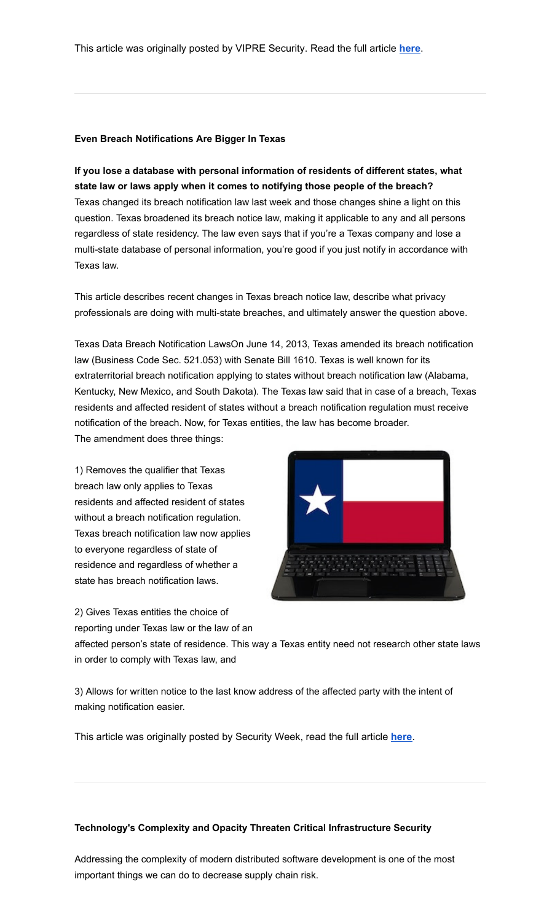This article was originally posted by VIPRE Security. Read the full article **[here](https://www.vipre.com/blog/6-risky-business-activities-you-should-stop-doing-now/)**.

### **Even Breach Notifications Are Bigger In Texas**

**If you lose a database with personal information of residents of different states, what state law or laws apply when it comes to notifying those people of the breach?** Texas changed its breach notification law last week and those changes shine a light on this question. Texas broadened its breach notice law, making it applicable to any and all persons regardless of state residency. The law even says that if you're a Texas company and lose a multi-state database of personal information, you're good if you just notify in accordance with Texas law.

This article describes recent changes in Texas breach notice law, describe what privacy professionals are doing with multi-state breaches, and ultimately answer the question above.

Texas Data Breach Notification LawsOn June 14, 2013, Texas amended its breach notification law (Business Code Sec. 521.053) with Senate Bill 1610. Texas is well known for its extraterritorial breach notification applying to states without breach notification law (Alabama, Kentucky, New Mexico, and South Dakota). The Texas law said that in case of a breach, Texas residents and affected resident of states without a breach notification regulation must receive notification of the breach. Now, for Texas entities, the law has become broader. The amendment does three things:

1) Removes the qualifier that Texas breach law only applies to Texas residents and affected resident of states without a breach notification regulation. Texas breach notification law now applies to everyone regardless of state of residence and regardless of whether a state has breach notification laws.

2) Gives Texas entities the choice of reporting under Texas law or the law of an



affected person's state of residence. This way a Texas entity need not research other state laws in order to comply with Texas law, and

3) Allows for written notice to the last know address of the affected party with the intent of making notification easier.

This article was originally posted by Security Week, read the full article **[here](https://www.securityweek.com/even-breach-notifications-are-bigger-texas)**.

### **Technology's Complexity and Opacity Threaten Critical Infrastructure Security**

Addressing the complexity of modern distributed software development is one of the most important things we can do to decrease supply chain risk.